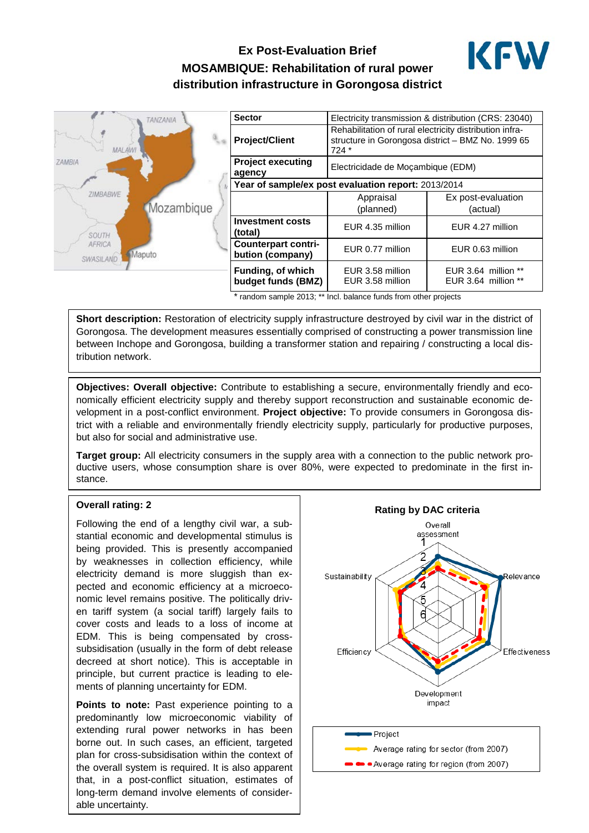# **Ex Post-Evaluation Brief MOSAMBIQUE: Rehabilitation of rural power distribution infrastructure in Gorongosa district**



| TANZANIA                                             | <b>Sector</b>                                       | Electricity transmission & distribution (CRS: 23040)                                                                   |                                            |
|------------------------------------------------------|-----------------------------------------------------|------------------------------------------------------------------------------------------------------------------------|--------------------------------------------|
| MAL AW                                               | <b>Project/Client</b>                               | Rehabilitation of rural electricity distribution infra-<br>structure in Gorongosa district - BMZ No. 1999 65<br>$724*$ |                                            |
| <b>ZAMBIA</b>                                        | <b>Project executing</b><br>agency                  | Electricidade de Moçambique (EDM)                                                                                      |                                            |
| <b>ZIMBABWE</b>                                      | Year of sample/ex post evaluation report: 2013/2014 |                                                                                                                        |                                            |
|                                                      |                                                     | Appraisal                                                                                                              | Ex post-evaluation                         |
| Mozambique                                           |                                                     | (planned)                                                                                                              | (actual)                                   |
| <b>SOUTH</b><br><b>AFRICA</b><br>Maputo<br>SWASILAND | <b>Investment costs</b><br>(total)                  | EUR 4.35 million                                                                                                       | EUR 4.27 million                           |
|                                                      | <b>Counterpart contri-</b><br>bution (company)      | EUR 0.77 million                                                                                                       | EUR 0.63 million                           |
|                                                      | Funding, of which<br>budget funds (BMZ)             | EUR 3.58 million<br>EUR 3.58 million                                                                                   | EUR 3.64 million **<br>EUR 3.64 million ** |

\* random sample 2013; \*\* Incl. balance funds from other projects

**Short description:** Restoration of electricity supply infrastructure destroyed by civil war in the district of Gorongosa. The development measures essentially comprised of constructing a power transmission line between Inchope and Gorongosa, building a transformer station and repairing / constructing a local distribution network.

**Objectives: Overall objective:** Contribute to establishing a secure, environmentally friendly and economically efficient electricity supply and thereby support reconstruction and sustainable economic development in a post-conflict environment. **Project objective:** To provide consumers in Gorongosa district with a reliable and environmentally friendly electricity supply, particularly for productive purposes, but also for social and administrative use.

**Target group:** All electricity consumers in the supply area with a connection to the public network productive users, whose consumption share is over 80%, were expected to predominate in the first instance.

#### **Overall rating: 2**

Following the end of a lengthy civil war, a substantial economic and developmental stimulus is being provided. This is presently accompanied by weaknesses in collection efficiency, while electricity demand is more sluggish than expected and economic efficiency at a microeconomic level remains positive. The politically driven tariff system (a social tariff) largely fails to cover costs and leads to a loss of income at EDM. This is being compensated by crosssubsidisation (usually in the form of debt release decreed at short notice). This is acceptable in principle, but current practice is leading to elements of planning uncertainty for EDM.

**Points to note:** Past experience pointing to a predominantly low microeconomic viability of extending rural power networks in has been borne out. In such cases, an efficient, targeted plan for cross-subsidisation within the context of the overall system is required. It is also apparent that, in a post-conflict situation, estimates of long-term demand involve elements of considerable uncertainty.

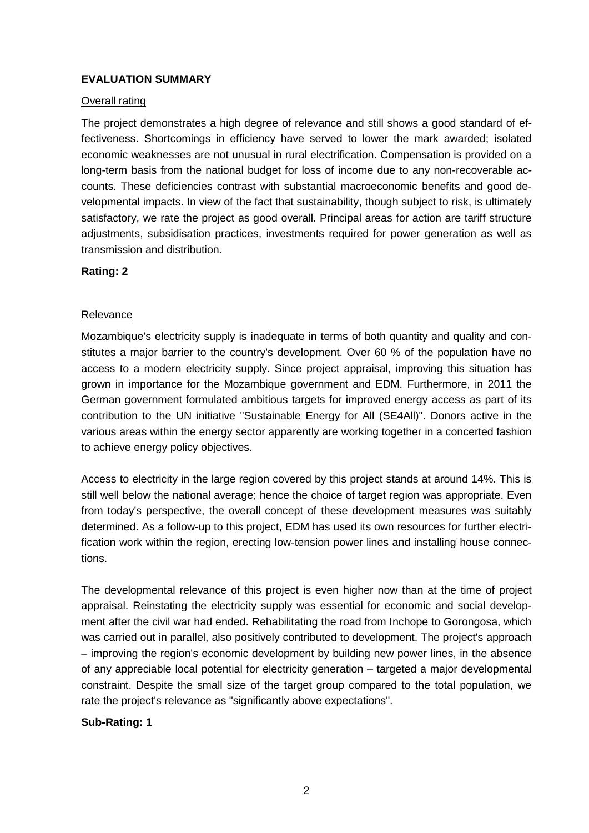# **EVALUATION SUMMARY**

## Overall rating

The project demonstrates a high degree of relevance and still shows a good standard of effectiveness. Shortcomings in efficiency have served to lower the mark awarded; isolated economic weaknesses are not unusual in rural electrification. Compensation is provided on a long-term basis from the national budget for loss of income due to any non-recoverable accounts. These deficiencies contrast with substantial macroeconomic benefits and good developmental impacts. In view of the fact that sustainability, though subject to risk, is ultimately satisfactory, we rate the project as good overall. Principal areas for action are tariff structure adjustments, subsidisation practices, investments required for power generation as well as transmission and distribution.

## **Rating: 2**

### **Relevance**

Mozambique's electricity supply is inadequate in terms of both quantity and quality and constitutes a major barrier to the country's development. Over 60 % of the population have no access to a modern electricity supply. Since project appraisal, improving this situation has grown in importance for the Mozambique government and EDM. Furthermore, in 2011 the German government formulated ambitious targets for improved energy access as part of its contribution to the UN initiative "Sustainable Energy for All (SE4All)". Donors active in the various areas within the energy sector apparently are working together in a concerted fashion to achieve energy policy objectives.

Access to electricity in the large region covered by this project stands at around 14%. This is still well below the national average; hence the choice of target region was appropriate. Even from today's perspective, the overall concept of these development measures was suitably determined. As a follow-up to this project, EDM has used its own resources for further electrification work within the region, erecting low-tension power lines and installing house connections.

The developmental relevance of this project is even higher now than at the time of project appraisal. Reinstating the electricity supply was essential for economic and social development after the civil war had ended. Rehabilitating the road from Inchope to Gorongosa, which was carried out in parallel, also positively contributed to development. The project's approach – improving the region's economic development by building new power lines, in the absence of any appreciable local potential for electricity generation – targeted a major developmental constraint. Despite the small size of the target group compared to the total population, we rate the project's relevance as "significantly above expectations".

### **Sub-Rating: 1**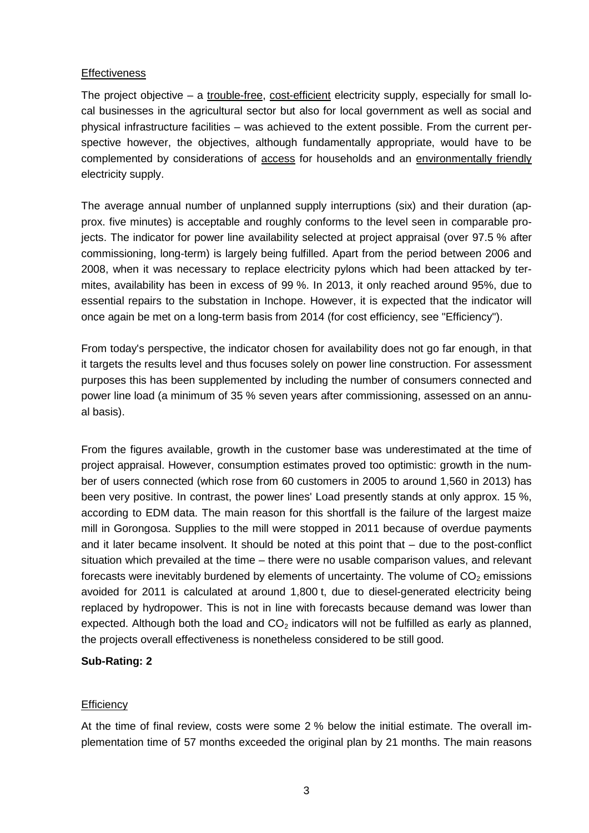### **Effectiveness**

The project objective – a trouble-free, cost-efficient electricity supply, especially for small local businesses in the agricultural sector but also for local government as well as social and physical infrastructure facilities – was achieved to the extent possible. From the current perspective however, the objectives, although fundamentally appropriate, would have to be complemented by considerations of access for households and an environmentally friendly electricity supply.

The average annual number of unplanned supply interruptions (six) and their duration (approx. five minutes) is acceptable and roughly conforms to the level seen in comparable projects. The indicator for power line availability selected at project appraisal (over 97.5 % after commissioning, long-term) is largely being fulfilled. Apart from the period between 2006 and 2008, when it was necessary to replace electricity pylons which had been attacked by termites, availability has been in excess of 99 %. In 2013, it only reached around 95%, due to essential repairs to the substation in Inchope. However, it is expected that the indicator will once again be met on a long-term basis from 2014 (for cost efficiency, see "Efficiency").

From today's perspective, the indicator chosen for availability does not go far enough, in that it targets the results level and thus focuses solely on power line construction. For assessment purposes this has been supplemented by including the number of consumers connected and power line load (a minimum of 35 % seven years after commissioning, assessed on an annual basis).

From the figures available, growth in the customer base was underestimated at the time of project appraisal. However, consumption estimates proved too optimistic: growth in the number of users connected (which rose from 60 customers in 2005 to around 1,560 in 2013) has been very positive. In contrast, the power lines' Load presently stands at only approx. 15 %, according to EDM data. The main reason for this shortfall is the failure of the largest maize mill in Gorongosa. Supplies to the mill were stopped in 2011 because of overdue payments and it later became insolvent. It should be noted at this point that – due to the post-conflict situation which prevailed at the time – there were no usable comparison values, and relevant forecasts were inevitably burdened by elements of uncertainty. The volume of  $CO<sub>2</sub>$  emissions avoided for 2011 is calculated at around 1,800 t, due to diesel-generated electricity being replaced by hydropower. This is not in line with forecasts because demand was lower than expected. Although both the load and  $CO<sub>2</sub>$  indicators will not be fulfilled as early as planned, the projects overall effectiveness is nonetheless considered to be still good.

# **Sub-Rating: 2**

### **Efficiency**

At the time of final review, costs were some 2 % below the initial estimate. The overall implementation time of 57 months exceeded the original plan by 21 months. The main reasons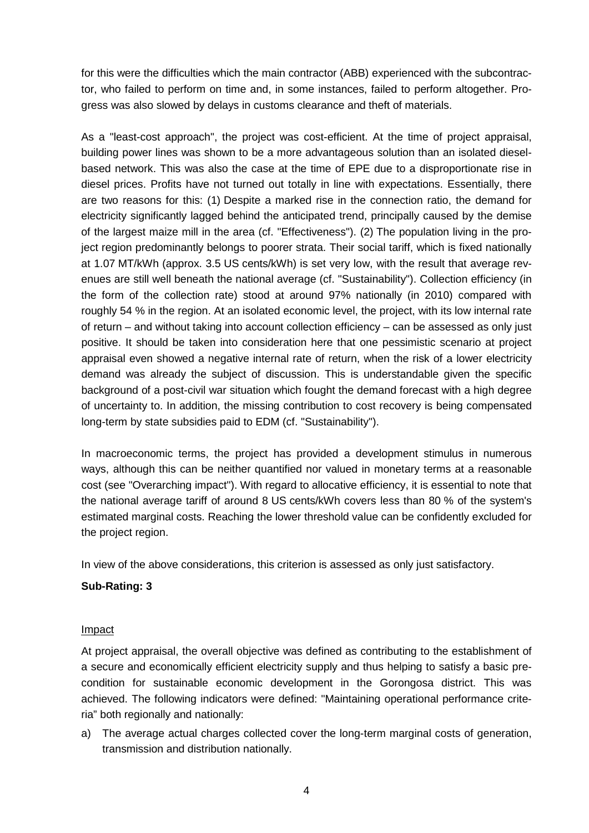for this were the difficulties which the main contractor (ABB) experienced with the subcontractor, who failed to perform on time and, in some instances, failed to perform altogether. Progress was also slowed by delays in customs clearance and theft of materials.

As a "least-cost approach", the project was cost-efficient. At the time of project appraisal, building power lines was shown to be a more advantageous solution than an isolated dieselbased network. This was also the case at the time of EPE due to a disproportionate rise in diesel prices. Profits have not turned out totally in line with expectations. Essentially, there are two reasons for this: (1) Despite a marked rise in the connection ratio, the demand for electricity significantly lagged behind the anticipated trend, principally caused by the demise of the largest maize mill in the area (cf. "Effectiveness"). (2) The population living in the project region predominantly belongs to poorer strata. Their social tariff, which is fixed nationally at 1.07 MT/kWh (approx. 3.5 US cents/kWh) is set very low, with the result that average revenues are still well beneath the national average (cf. "Sustainability"). Collection efficiency (in the form of the collection rate) stood at around 97% nationally (in 2010) compared with roughly 54 % in the region. At an isolated economic level, the project, with its low internal rate of return – and without taking into account collection efficiency – can be assessed as only just positive. It should be taken into consideration here that one pessimistic scenario at project appraisal even showed a negative internal rate of return, when the risk of a lower electricity demand was already the subject of discussion. This is understandable given the specific background of a post-civil war situation which fought the demand forecast with a high degree of uncertainty to. In addition, the missing contribution to cost recovery is being compensated long-term by state subsidies paid to EDM (cf. "Sustainability").

In macroeconomic terms, the project has provided a development stimulus in numerous ways, although this can be neither quantified nor valued in monetary terms at a reasonable cost (see "Overarching impact"). With regard to allocative efficiency, it is essential to note that the national average tariff of around 8 US cents/kWh covers less than 80 % of the system's estimated marginal costs. Reaching the lower threshold value can be confidently excluded for the project region.

In view of the above considerations, this criterion is assessed as only just satisfactory.

# **Sub-Rating: 3**

### Impact

At project appraisal, the overall objective was defined as contributing to the establishment of a secure and economically efficient electricity supply and thus helping to satisfy a basic precondition for sustainable economic development in the Gorongosa district. This was achieved. The following indicators were defined: "Maintaining operational performance criteria" both regionally and nationally:

a) The average actual charges collected cover the long-term marginal costs of generation, transmission and distribution nationally.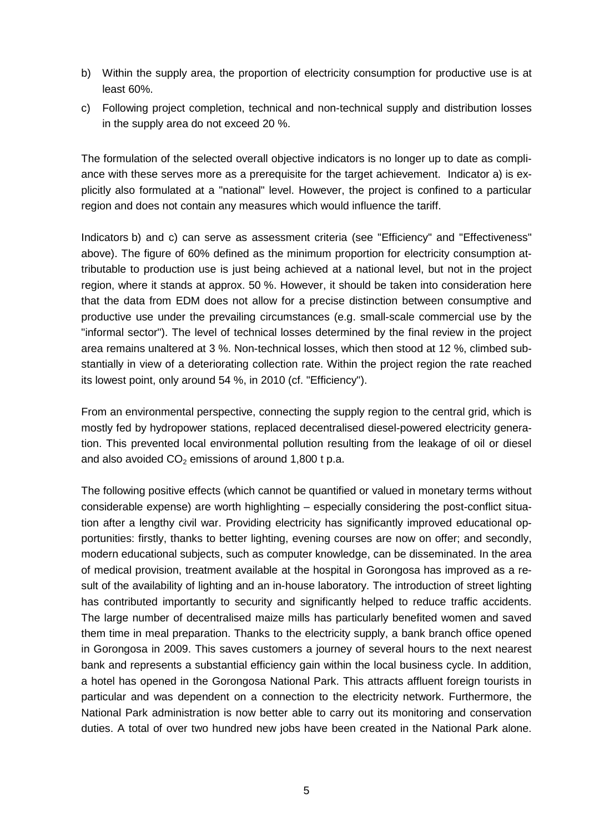- b) Within the supply area, the proportion of electricity consumption for productive use is at least 60%.
- c) Following project completion, technical and non-technical supply and distribution losses in the supply area do not exceed 20 %.

The formulation of the selected overall objective indicators is no longer up to date as compliance with these serves more as a prerequisite for the target achievement. Indicator a) is explicitly also formulated at a "national" level. However, the project is confined to a particular region and does not contain any measures which would influence the tariff.

Indicators b) and c) can serve as assessment criteria (see "Efficiency" and "Effectiveness" above). The figure of 60% defined as the minimum proportion for electricity consumption attributable to production use is just being achieved at a national level, but not in the project region, where it stands at approx. 50 %. However, it should be taken into consideration here that the data from EDM does not allow for a precise distinction between consumptive and productive use under the prevailing circumstances (e.g. small-scale commercial use by the "informal sector"). The level of technical losses determined by the final review in the project area remains unaltered at 3 %. Non-technical losses, which then stood at 12 %, climbed substantially in view of a deteriorating collection rate. Within the project region the rate reached its lowest point, only around 54 %, in 2010 (cf. "Efficiency").

From an environmental perspective, connecting the supply region to the central grid, which is mostly fed by hydropower stations, replaced decentralised diesel-powered electricity generation. This prevented local environmental pollution resulting from the leakage of oil or diesel and also avoided  $CO<sub>2</sub>$  emissions of around 1,800 t p.a.

The following positive effects (which cannot be quantified or valued in monetary terms without considerable expense) are worth highlighting – especially considering the post-conflict situation after a lengthy civil war. Providing electricity has significantly improved educational opportunities: firstly, thanks to better lighting, evening courses are now on offer; and secondly, modern educational subjects, such as computer knowledge, can be disseminated. In the area of medical provision, treatment available at the hospital in Gorongosa has improved as a result of the availability of lighting and an in-house laboratory. The introduction of street lighting has contributed importantly to security and significantly helped to reduce traffic accidents. The large number of decentralised maize mills has particularly benefited women and saved them time in meal preparation. Thanks to the electricity supply, a bank branch office opened in Gorongosa in 2009. This saves customers a journey of several hours to the next nearest bank and represents a substantial efficiency gain within the local business cycle. In addition, a hotel has opened in the Gorongosa National Park. This attracts affluent foreign tourists in particular and was dependent on a connection to the electricity network. Furthermore, the National Park administration is now better able to carry out its monitoring and conservation duties. A total of over two hundred new jobs have been created in the National Park alone.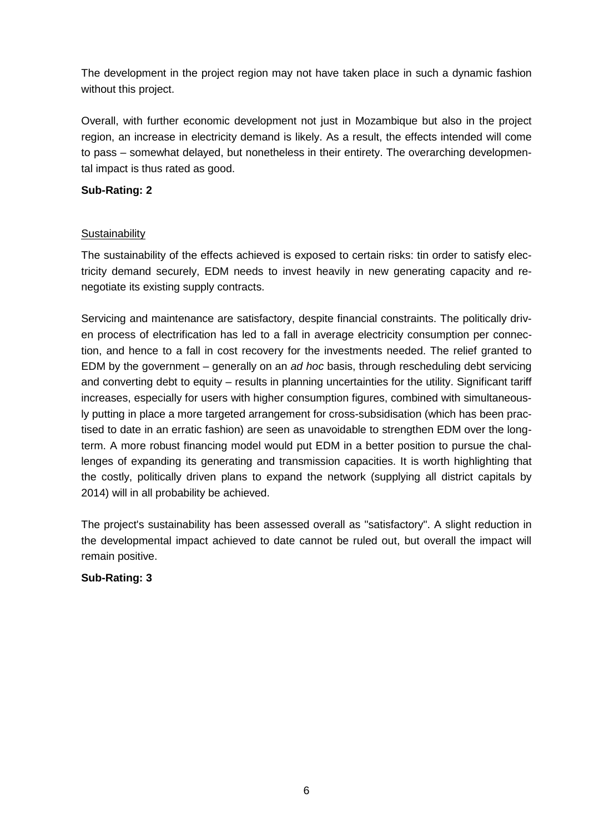The development in the project region may not have taken place in such a dynamic fashion without this project.

Overall, with further economic development not just in Mozambique but also in the project region, an increase in electricity demand is likely. As a result, the effects intended will come to pass – somewhat delayed, but nonetheless in their entirety. The overarching developmental impact is thus rated as good.

# **Sub-Rating: 2**

# **Sustainability**

The sustainability of the effects achieved is exposed to certain risks: tin order to satisfy electricity demand securely, EDM needs to invest heavily in new generating capacity and renegotiate its existing supply contracts.

Servicing and maintenance are satisfactory, despite financial constraints. The politically driven process of electrification has led to a fall in average electricity consumption per connection, and hence to a fall in cost recovery for the investments needed. The relief granted to EDM by the government – generally on an *ad hoc* basis, through rescheduling debt servicing and converting debt to equity – results in planning uncertainties for the utility. Significant tariff increases, especially for users with higher consumption figures, combined with simultaneously putting in place a more targeted arrangement for cross-subsidisation (which has been practised to date in an erratic fashion) are seen as unavoidable to strengthen EDM over the longterm. A more robust financing model would put EDM in a better position to pursue the challenges of expanding its generating and transmission capacities. It is worth highlighting that the costly, politically driven plans to expand the network (supplying all district capitals by 2014) will in all probability be achieved.

The project's sustainability has been assessed overall as "satisfactory". A slight reduction in the developmental impact achieved to date cannot be ruled out, but overall the impact will remain positive.

### **Sub-Rating: 3**